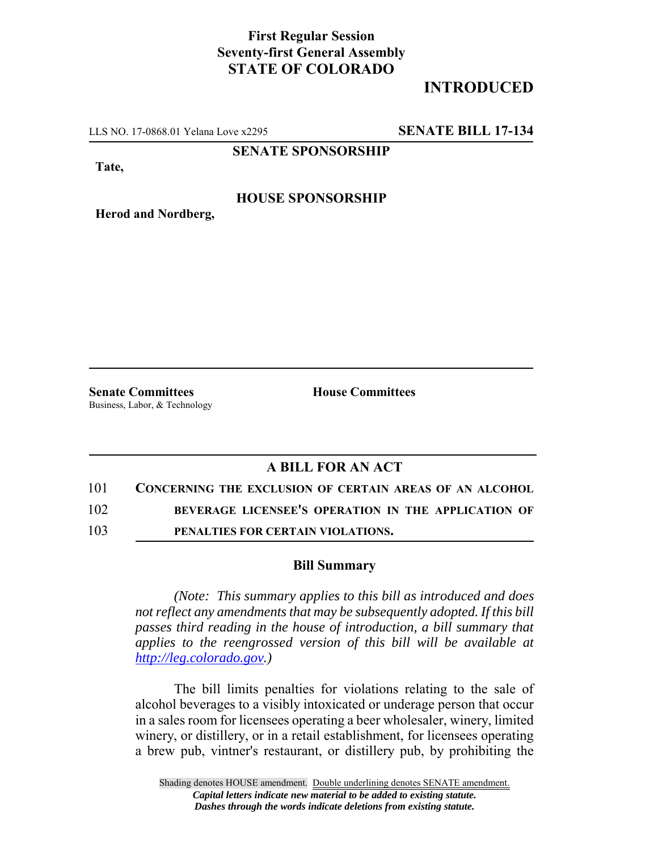## **First Regular Session Seventy-first General Assembly STATE OF COLORADO**

# **INTRODUCED**

LLS NO. 17-0868.01 Yelana Love x2295 **SENATE BILL 17-134**

**SENATE SPONSORSHIP**

**Tate,**

### **HOUSE SPONSORSHIP**

**Herod and Nordberg,**

**Senate Committees House Committees** Business, Labor, & Technology

## **A BILL FOR AN ACT**

#### 101 **CONCERNING THE EXCLUSION OF CERTAIN AREAS OF AN ALCOHOL**

102 **BEVERAGE LICENSEE'S OPERATION IN THE APPLICATION OF**

103 **PENALTIES FOR CERTAIN VIOLATIONS.**

#### **Bill Summary**

*(Note: This summary applies to this bill as introduced and does not reflect any amendments that may be subsequently adopted. If this bill passes third reading in the house of introduction, a bill summary that applies to the reengrossed version of this bill will be available at http://leg.colorado.gov.)*

The bill limits penalties for violations relating to the sale of alcohol beverages to a visibly intoxicated or underage person that occur in a sales room for licensees operating a beer wholesaler, winery, limited winery, or distillery, or in a retail establishment, for licensees operating a brew pub, vintner's restaurant, or distillery pub, by prohibiting the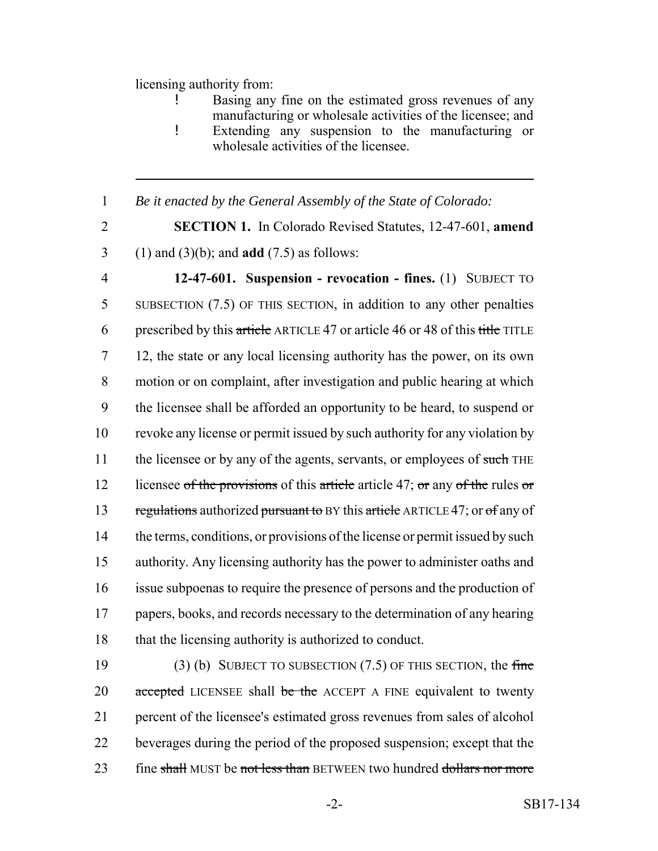### licensing authority from:

Basing any fine on the estimated gross revenues of any manufacturing or wholesale activities of the licensee; and ! Extending any suspension to the manufacturing or wholesale activities of the licensee.

## 1 *Be it enacted by the General Assembly of the State of Colorado:*

2 **SECTION 1.** In Colorado Revised Statutes, 12-47-601, **amend** 3 (1) and (3)(b); and **add** (7.5) as follows:

4 **12-47-601. Suspension - revocation - fines.** (1) SUBJECT TO 5 SUBSECTION (7.5) OF THIS SECTION, in addition to any other penalties 6 prescribed by this article ARTICLE 47 or article 46 or 48 of this title TITLE 7 12, the state or any local licensing authority has the power, on its own 8 motion or on complaint, after investigation and public hearing at which 9 the licensee shall be afforded an opportunity to be heard, to suspend or 10 revoke any license or permit issued by such authority for any violation by 11 the licensee or by any of the agents, servants, or employees of such THE 12 licensee of the provisions of this article article 47; or any of the rules or 13 regulations authorized pursuant to BY this article ARTICLE 47; or of any of 14 the terms, conditions, or provisions of the license or permit issued by such 15 authority. Any licensing authority has the power to administer oaths and 16 issue subpoenas to require the presence of persons and the production of 17 papers, books, and records necessary to the determination of any hearing 18 that the licensing authority is authorized to conduct.

19 (3) (b) SUBJECT TO SUBSECTION  $(7.5)$  OF THIS SECTION, the fine 20 accepted LICENSEE shall be the ACCEPT A FINE equivalent to twenty 21 percent of the licensee's estimated gross revenues from sales of alcohol 22 beverages during the period of the proposed suspension; except that the 23 fine shall MUST be not less than BETWEEN two hundred dollars nor more